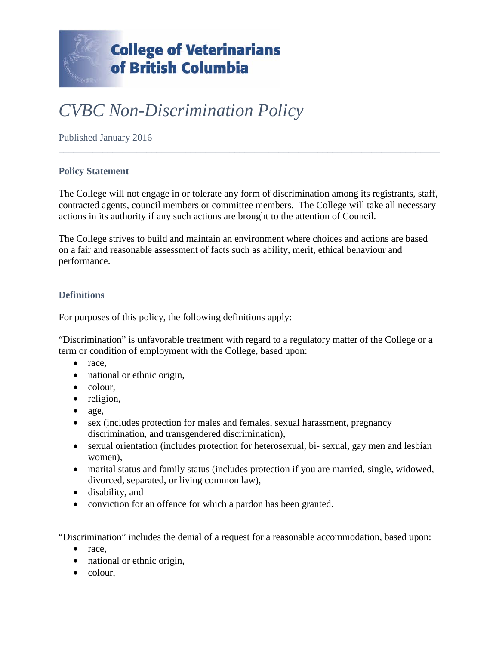

# *CVBC Non-Discrimination Policy*

Published January 2016

### **Policy Statement**

The College will not engage in or tolerate any form of discrimination among its registrants, staff, contracted agents, council members or committee members. The College will take all necessary actions in its authority if any such actions are brought to the attention of Council.

\_\_\_\_\_\_\_\_\_\_\_\_\_\_\_\_\_\_\_\_\_\_\_\_\_\_\_\_\_\_\_\_\_\_\_\_\_\_\_\_\_\_\_\_\_\_\_\_\_\_\_\_\_\_\_\_\_\_\_\_\_\_\_\_\_\_\_\_\_\_\_\_\_\_\_\_\_\_

The College strives to build and maintain an environment where choices and actions are based on a fair and reasonable assessment of facts such as ability, merit, ethical behaviour and performance.

### **Definitions**

For purposes of this policy, the following definitions apply:

"Discrimination" is unfavorable treatment with regard to a regulatory matter of the College or a term or condition of employment with the College, based upon:

- race,
- national or ethnic origin,
- colour,
- religion,
- age,
- sex (includes protection for males and females, sexual harassment, pregnancy discrimination, and transgendered discrimination),
- sexual orientation (includes protection for heterosexual, bi- sexual, gay men and lesbian women),
- marital status and family status (includes protection if you are married, single, widowed, divorced, separated, or living common law),
- disability, and
- conviction for an offence for which a pardon has been granted.

"Discrimination" includes the denial of a request for a reasonable accommodation, based upon:

- race,
- national or ethnic origin,
- colour.